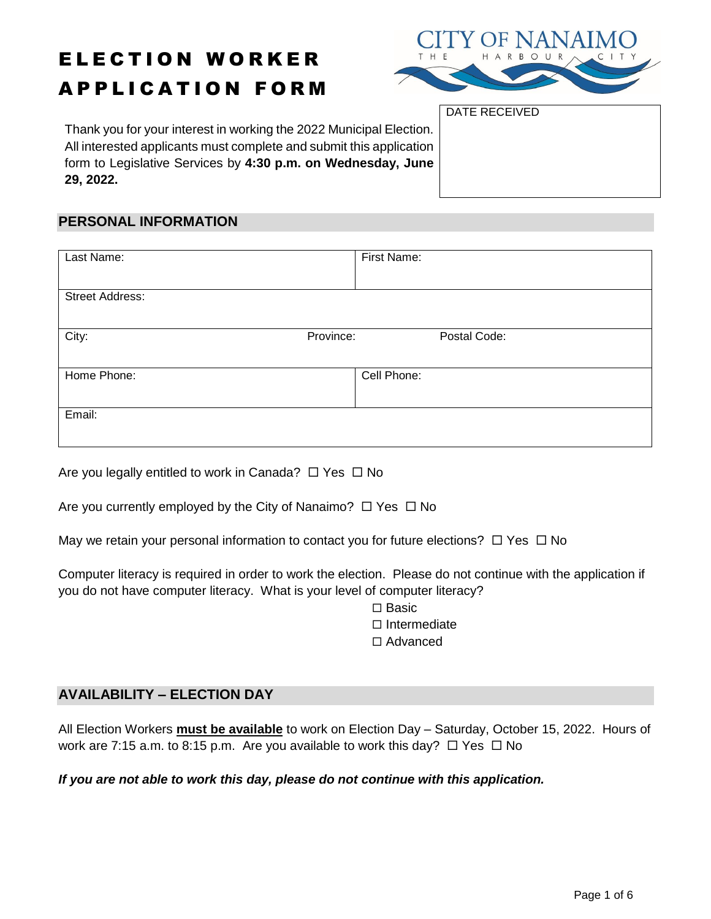# ELECTION WORKER APPLICATION FORM



DATE RECEIVED

Thank you for your interest in working the 2022 Municipal Election. All interested applicants must complete and submit this application form to Legislative Services by **4:30 p.m. on Wednesday, June 29, 2022.**

#### **PERSONAL INFORMATION**

| Last Name:             | First Name:  |
|------------------------|--------------|
|                        |              |
| <b>Street Address:</b> |              |
|                        |              |
| Province:<br>City:     | Postal Code: |
|                        |              |
| Home Phone:            | Cell Phone:  |
|                        |              |
| Email:                 |              |
|                        |              |

Are you legally entitled to work in Canada?  $\Box$  Yes  $\Box$  No

|  |  | Are you currently employed by the City of Nanaimo? $\Box$ Yes $\Box$ No |  |
|--|--|-------------------------------------------------------------------------|--|

May we retain your personal information to contact you for future elections?  $\Box$  Yes  $\Box$  No

Computer literacy is required in order to work the election. Please do not continue with the application if you do not have computer literacy. What is your level of computer literacy?

> $\square$  Basic  $\square$  Intermediate

Advanced

#### **AVAILABILITY – ELECTION DAY**

All Election Workers **must be available** to work on Election Day – Saturday, October 15, 2022. Hours of work are 7:15 a.m. to 8:15 p.m. Are you available to work this day?  $\Box$  Yes  $\Box$  No

*If you are not able to work this day, please do not continue with this application.*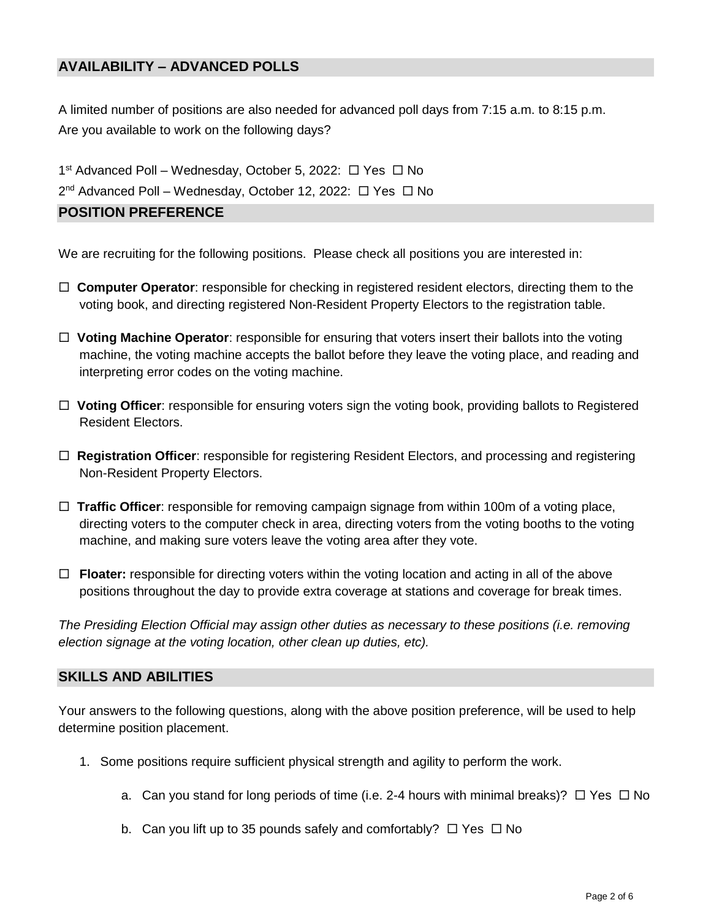## **AVAILABILITY – ADVANCED POLLS**

A limited number of positions are also needed for advanced poll days from 7:15 a.m. to 8:15 p.m. Are you available to work on the following days?

1<sup>st</sup> Advanced Poll – Wednesday, October 5, 2022: □ Yes □ No

2<sup>nd</sup> Advanced Poll – Wednesday, October 12, 2022: □ Yes □ No

# **POSITION PREFERENCE**

We are recruiting for the following positions. Please check all positions you are interested in:

- **Computer Operator**: responsible for checking in registered resident electors, directing them to the voting book, and directing registered Non-Resident Property Electors to the registration table.
- **Voting Machine Operator**: responsible for ensuring that voters insert their ballots into the voting machine, the voting machine accepts the ballot before they leave the voting place, and reading and interpreting error codes on the voting machine.
- **Voting Officer**: responsible for ensuring voters sign the voting book, providing ballots to Registered Resident Electors.
- **Registration Officer**: responsible for registering Resident Electors, and processing and registering Non-Resident Property Electors.
- **Traffic Officer**: responsible for removing campaign signage from within 100m of a voting place, directing voters to the computer check in area, directing voters from the voting booths to the voting machine, and making sure voters leave the voting area after they vote.
- **Floater:** responsible for directing voters within the voting location and acting in all of the above positions throughout the day to provide extra coverage at stations and coverage for break times.

*The Presiding Election Official may assign other duties as necessary to these positions (i.e. removing election signage at the voting location, other clean up duties, etc).* 

#### **SKILLS AND ABILITIES**

Your answers to the following questions, along with the above position preference, will be used to help determine position placement.

- 1. Some positions require sufficient physical strength and agility to perform the work.
	- a. Can you stand for long periods of time (i.e. 2-4 hours with minimal breaks)?  $\Box$  Yes  $\Box$  No
	- b. Can you lift up to 35 pounds safely and comfortably?  $\Box$  Yes  $\Box$  No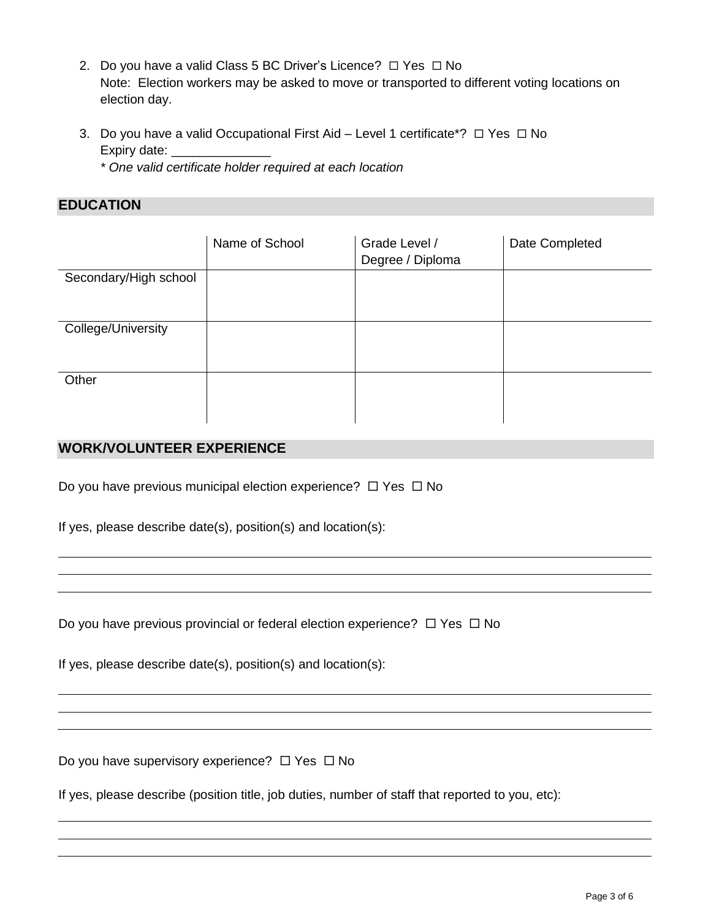- 2. Do you have a valid Class 5 BC Driver's Licence?  $\Box$  Yes  $\Box$  No Note: Election workers may be asked to move or transported to different voting locations on election day.
- 3. Do you have a valid Occupational First Aid Level 1 certificate\*?  $\Box$  Yes  $\Box$  No Expiry date: \_\_\_\_\_\_ *\* One valid certificate holder required at each location*

**EDUCATION** 

|                       | Name of School | Grade Level /<br>Degree / Diploma | Date Completed |
|-----------------------|----------------|-----------------------------------|----------------|
| Secondary/High school |                |                                   |                |
| College/University    |                |                                   |                |
| Other                 |                |                                   |                |

# **WORK/VOLUNTEER EXPERIENCE**

Do you have previous municipal election experience?  $\Box$  Yes  $\Box$  No

If yes, please describe date(s), position(s) and location(s):

Do you have previous provincial or federal election experience?  $\Box$  Yes  $\Box$  No

If yes, please describe date(s), position(s) and location(s):

Do you have supervisory experience?  $\Box$  Yes  $\Box$  No

If yes, please describe (position title, job duties, number of staff that reported to you, etc):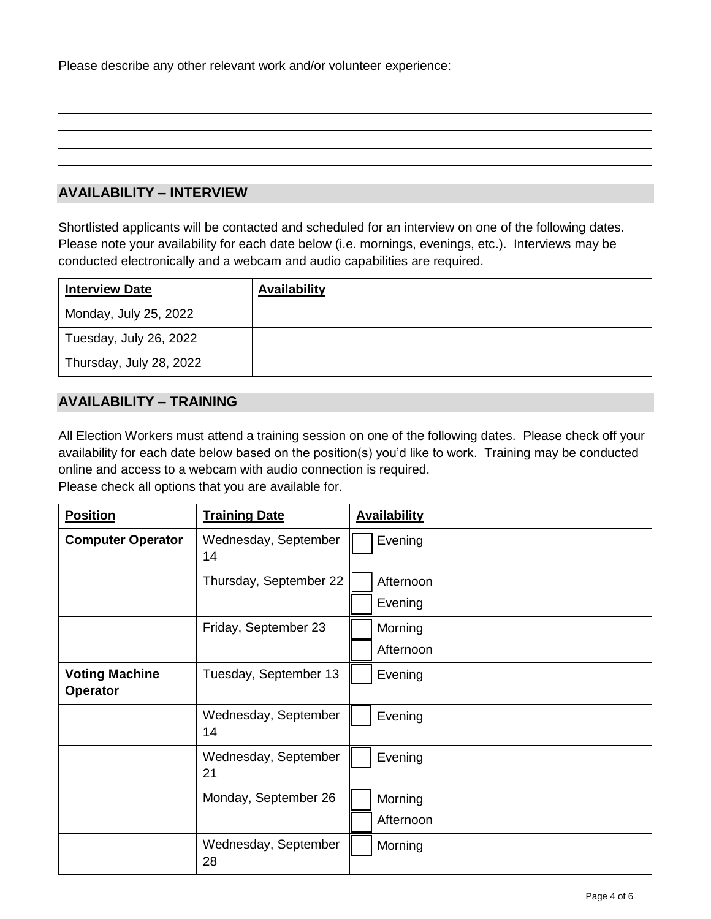Please describe any other relevant work and/or volunteer experience:

# **AVAILABILITY – INTERVIEW**

Shortlisted applicants will be contacted and scheduled for an interview on one of the following dates. Please note your availability for each date below (i.e. mornings, evenings, etc.). Interviews may be conducted electronically and a webcam and audio capabilities are required.

| <b>Interview Date</b>   | <b>Availability</b> |
|-------------------------|---------------------|
| Monday, July 25, 2022   |                     |
| Tuesday, July 26, 2022  |                     |
| Thursday, July 28, 2022 |                     |

## **AVAILABILITY – TRAINING**

All Election Workers must attend a training session on one of the following dates. Please check off your availability for each date below based on the position(s) you'd like to work. Training may be conducted online and access to a webcam with audio connection is required. Please check all options that you are available for.

| <b>Position</b>                   | <b>Training Date</b>       | <b>Availability</b>  |  |
|-----------------------------------|----------------------------|----------------------|--|
| <b>Computer Operator</b>          | Wednesday, September<br>14 | Evening              |  |
|                                   | Thursday, September 22     | Afternoon<br>Evening |  |
|                                   |                            |                      |  |
|                                   | Friday, September 23       | Morning              |  |
|                                   |                            | Afternoon            |  |
| <b>Voting Machine</b><br>Operator | Tuesday, September 13      | Evening              |  |
|                                   | Wednesday, September<br>14 | Evening              |  |
|                                   | Wednesday, September<br>21 | Evening              |  |
|                                   | Monday, September 26       | Morning              |  |
|                                   |                            | Afternoon            |  |
|                                   | Wednesday, September<br>28 | Morning              |  |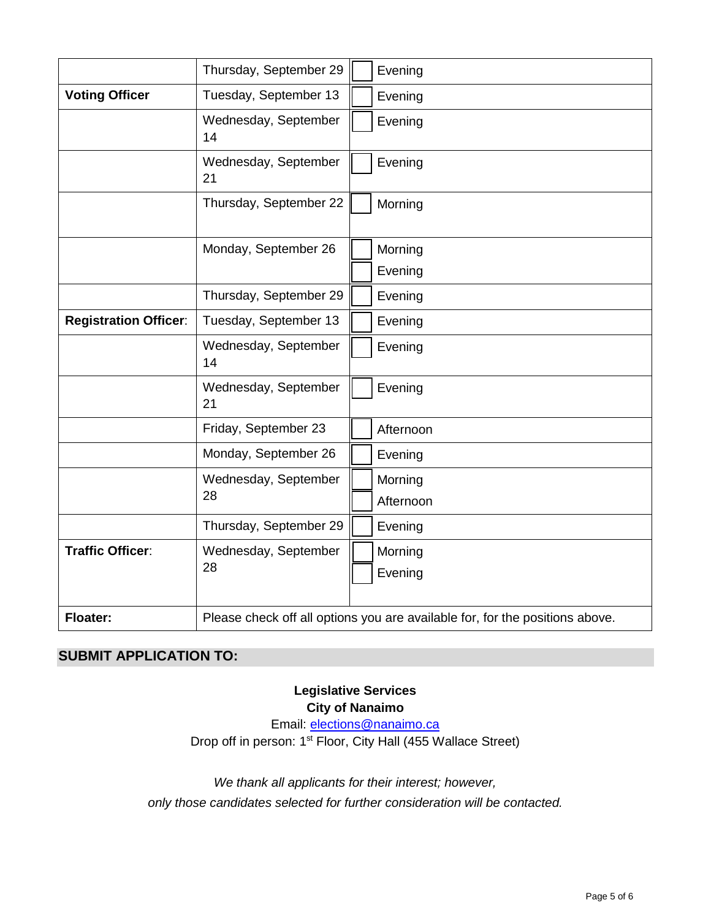|                              | Thursday, September 29     | Evening                                                                      |  |  |
|------------------------------|----------------------------|------------------------------------------------------------------------------|--|--|
| <b>Voting Officer</b>        | Tuesday, September 13      | Evening                                                                      |  |  |
|                              | Wednesday, September<br>14 | Evening                                                                      |  |  |
|                              | Wednesday, September<br>21 | Evening                                                                      |  |  |
|                              | Thursday, September 22     | Morning                                                                      |  |  |
|                              | Monday, September 26       | Morning                                                                      |  |  |
|                              |                            | Evening                                                                      |  |  |
|                              | Thursday, September 29     | Evening                                                                      |  |  |
| <b>Registration Officer:</b> | Tuesday, September 13      | Evening                                                                      |  |  |
|                              | Wednesday, September<br>14 | Evening                                                                      |  |  |
|                              | Wednesday, September<br>21 | Evening                                                                      |  |  |
|                              | Friday, September 23       | Afternoon                                                                    |  |  |
|                              | Monday, September 26       | Evening                                                                      |  |  |
|                              | Wednesday, September       | Morning                                                                      |  |  |
|                              | 28                         | Afternoon                                                                    |  |  |
|                              | Thursday, September 29     | Evening                                                                      |  |  |
| <b>Traffic Officer:</b>      | Wednesday, September<br>28 | Morning<br>Evening                                                           |  |  |
| <b>Floater:</b>              |                            | Please check off all options you are available for, for the positions above. |  |  |

# **SUBMIT APPLICATION TO:**

# **Legislative Services City of Nanaimo**

Email: [elections@nanaimo.ca](mailto:elections@nanaimo.ca) Drop off in person: 1<sup>st</sup> Floor, City Hall (455 Wallace Street)

*We thank all applicants for their interest; however, only those candidates selected for further consideration will be contacted.*